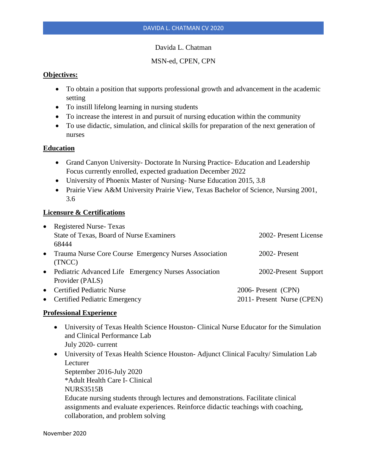## Davida L. Chatman

# MSN-ed, CPEN, CPN

## **Objectives:**

- To obtain a position that supports professional growth and advancement in the academic setting
- To instill lifelong learning in nursing students
- To increase the interest in and pursuit of nursing education within the community
- To use didactic, simulation, and clinical skills for preparation of the next generation of nurses

## **Education**

- Grand Canyon University- Doctorate In Nursing Practice- Education and Leadership Focus currently enrolled, expected graduation December 2022
- University of Phoenix Master of Nursing- Nurse Education 2015, 3.8
- Prairie View A&M University Prairie View, Texas Bachelor of Science, Nursing 2001, 3.6

## **Licensure & Certifications**

| • Registered Nurse-Texas                                |                            |
|---------------------------------------------------------|----------------------------|
| State of Texas, Board of Nurse Examiners                | 2002- Present License      |
| 68444                                                   |                            |
| • Trauma Nurse Core Course Emergency Nurses Association | 2002-Present               |
| (TNCC)                                                  |                            |
| • Pediatric Advanced Life Emergency Nurses Association  | 2002-Present Support       |
| Provider (PALS)                                         |                            |
| • Certified Pediatric Nurse                             | 2006- Present (CPN)        |
| • Certified Pediatric Emergency                         | 2011- Present Nurse (CPEN) |

## **Professional Experience**

- University of Texas Health Science Houston- Clinical Nurse Educator for the Simulation and Clinical Performance Lab July 2020- current
- University of Texas Health Science Houston-Adjunct Clinical Faculty/Simulation Lab Lecturer September 2016-July 2020 \*Adult Health Care I- Clinical NURS3515B Educate nursing students through lectures and demonstrations. Facilitate clinical assignments and evaluate experiences. Reinforce didactic teachings with coaching, collaboration, and problem solving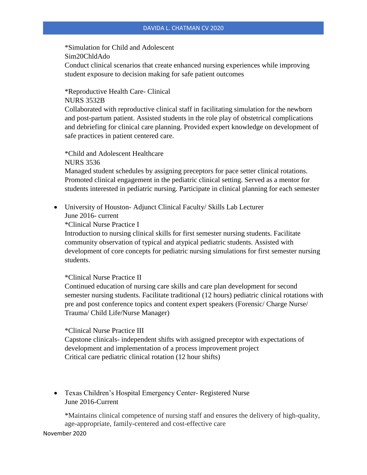\*Simulation for Child and Adolescent Sim20ChldAdo Conduct clinical scenarios that create enhanced nursing experiences while improving student exposure to decision making for safe patient outcomes

\*Reproductive Health Care- Clinical

NURS 3532B

Collaborated with reproductive clinical staff in facilitating simulation for the newborn and post-partum patient. Assisted students in the role play of obstetrical complications and debriefing for clinical care planning. Provided expert knowledge on development of safe practices in patient centered care.

\*Child and Adolescent Healthcare NURS 3536

Managed student schedules by assigning preceptors for pace setter clinical rotations. Promoted clinical engagement in the pediatric clinical setting. Served as a mentor for students interested in pediatric nursing. Participate in clinical planning for each semester

• University of Houston- Adjunct Clinical Faculty/ Skills Lab Lecturer June 2016- current

\*Clinical Nurse Practice I

Introduction to nursing clinical skills for first semester nursing students. Facilitate community observation of typical and atypical pediatric students. Assisted with development of core concepts for pediatric nursing simulations for first semester nursing students.

## \*Clinical Nurse Practice II

Continued education of nursing care skills and care plan development for second semester nursing students. Facilitate traditional (12 hours) pediatric clinical rotations with pre and post conference topics and content expert speakers (Forensic/ Charge Nurse/ Trauma/ Child Life/Nurse Manager)

\*Clinical Nurse Practice III

Capstone clinicals- independent shifts with assigned preceptor with expectations of development and implementation of a process improvement project Critical care pediatric clinical rotation (12 hour shifts)

• Texas Children's Hospital Emergency Center- Registered Nurse June 2016-Current

\*Maintains clinical competence of nursing staff and ensures the delivery of high-quality, age-appropriate, family-centered and cost-effective care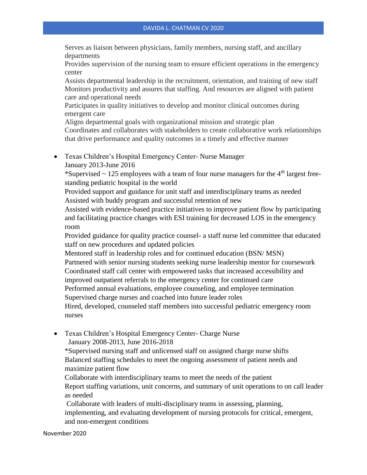Serves as liaison between physicians, family members, nursing staff, and ancillary departments

Provides supervision of the nursing team to ensure efficient operations in the emergency center

Assists departmental leadership in the recruitment, orientation, and training of new staff Monitors productivity and assures that staffing. And resources are aligned with patient care and operational needs

Participates in quality initiatives to develop and monitor clinical outcomes during emergent care

Aligns departmental goals with organizational mission and strategic plan Coordinates and collaborates with stakeholders to create collaborative work relationships that drive performance and quality outcomes in a timely and effective manner

• Texas Children's Hospital Emergency Center- Nurse Manager January 2013-June 2016

\*Supervised  $\sim$  125 employees with a team of four nurse managers for the 4<sup>th</sup> largest freestanding pediatric hospital in the world

Provided support and guidance for unit staff and interdisciplinary teams as needed Assisted with buddy program and successful retention of new

Assisted with evidence-based practice initiatives to improve patient flow by participating and facilitating practice changes with ESI training for decreased LOS in the emergency room

Provided guidance for quality practice counsel- a staff nurse led committee that educated staff on new procedures and updated policies

Mentored staff in leadership roles and for continued education (BSN/ MSN) Partnered with senior nursing students seeking nurse leadership mentor for coursework Coordinated staff call center with empowered tasks that increased accessibility and improved outpatient referrals to the emergency center for continued care

Performed annual evaluations, employee counseling, and employee termination Supervised charge nurses and coached into future leader roles

Hired, developed, counseled staff members into successful pediatric emergency room nurses

• Texas Children's Hospital Emergency Center- Charge Nurse January 2008-2013, June 2016-2018

\*Supervised nursing staff and unlicensed staff on assigned charge nurse shifts Balanced staffing schedules to meet the ongoing assessment of patient needs and maximize patient flow

Collaborate with interdisciplinary teams to meet the needs of the patient Report staffing variations, unit concerns, and summary of unit operations to on call leader as needed

Collaborate with leaders of multi-disciplinary teams in assessing, planning, implementing, and evaluating development of nursing protocols for critical, emergent, and non-emergent conditions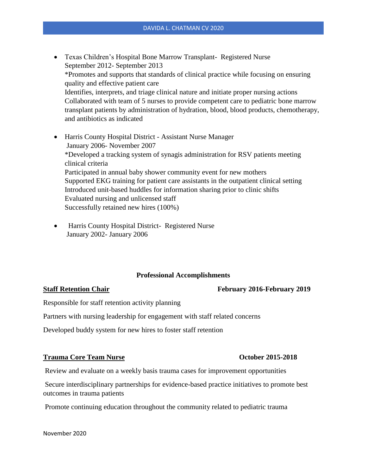- Texas Children's Hospital Bone Marrow Transplant- Registered Nurse September 2012- September 2013 \*Promotes and supports that standards of clinical practice while focusing on ensuring quality and effective patient care Identifies, interprets, and triage clinical nature and initiate proper nursing actions Collaborated with team of 5 nurses to provide competent care to pediatric bone marrow transplant patients by administration of hydration, blood, blood products, chemotherapy, and antibiotics as indicated
- Harris County Hospital District Assistant Nurse Manager January 2006- November 2007 \*Developed a tracking system of synagis administration for RSV patients meeting clinical criteria Participated in annual baby shower community event for new mothers Supported EKG training for patient care assistants in the outpatient clinical setting Introduced unit-based huddles for information sharing prior to clinic shifts Evaluated nursing and unlicensed staff Successfully retained new hires (100%)
- Harris County Hospital District- Registered Nurse January 2002- January 2006

# **Professional Accomplishments**

### **Staff Retention Chair February 2016-February 2019**

Responsible for staff retention activity planning

Partners with nursing leadership for engagement with staff related concerns

Developed buddy system for new hires to foster staff retention

## **Trauma Core Team Nurse October 2015-2018**

Review and evaluate on a weekly basis trauma cases for improvement opportunities

Secure interdisciplinary partnerships for evidence-based practice initiatives to promote best outcomes in trauma patients

Promote continuing education throughout the community related to pediatric trauma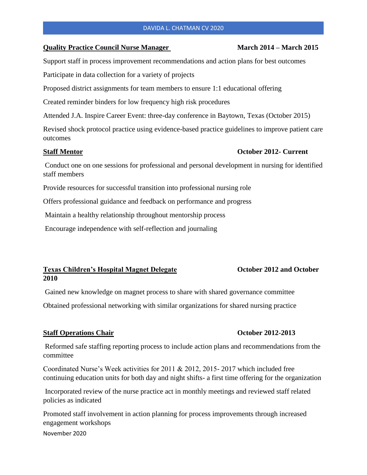### DAVIDA L. CHATMAN CV 2020

### **Quality Practice Council Nurse Manager March 2014 – March 2015**

Support staff in process improvement recommendations and action plans for best outcomes

Participate in data collection for a variety of projects

Proposed district assignments for team members to ensure 1:1 educational offering

Created reminder binders for low frequency high risk procedures

Attended J.A. Inspire Career Event: three-day conference in Baytown, Texas (October 2015)

Revised shock protocol practice using evidence-based practice guidelines to improve patient care outcomes

## **Staff Mentor October 2012- Current**

Conduct one on one sessions for professional and personal development in nursing for identified staff members

Provide resources for successful transition into professional nursing role

Offers professional guidance and feedback on performance and progress

Maintain a healthy relationship throughout mentorship process

Encourage independence with self-reflection and journaling

## **Texas Children's Hospital Magnet Delegate October 2012 and October 2010**

Gained new knowledge on magnet process to share with shared governance committee

Obtained professional networking with similar organizations for shared nursing practice

## **Staff Operations Chair Chair Chair Chair Chair Chair Chair Chair Chair Chair Chair Chair Chair Chair Chair Chair Chair Chair Chair Chair Chair Chair Chair Chair Chair Chair Chair Chair Chair Chair Chair Chair Chair Chair**

Reformed safe staffing reporting process to include action plans and recommendations from the committee

Coordinated Nurse's Week activities for 2011 & 2012, 2015- 2017 which included free continuing education units for both day and night shifts- a first time offering for the organization

Incorporated review of the nurse practice act in monthly meetings and reviewed staff related policies as indicated

November 2020 Promoted staff involvement in action planning for process improvements through increased engagement workshops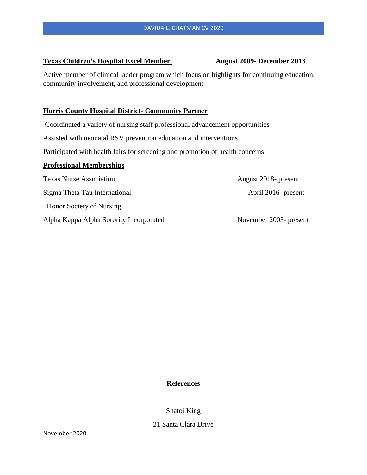## **Texas Children's Hospital Excel Member August 2009- December 2013**

Active member of clinical ladder program which focus on highlights for continuing education, community involvement, and professional development

## **Harris County Hospital District- Community Partner**

Coordinated a variety of nursing staff professional advancement opportunities

Assisted with neonatal RSV prevention education and interventions

Participated with health fairs for screening and promotion of health concerns

### **Professional Memberships**

Texas Nurse Association **August 2018**- present Sigma Theta Tau International April 2016- present Honor Society of Nursing Alpha Kappa Alpha Sorority Incorporated November 2003- present

## **References**

Shatoi King

## 21 Santa Clara Drive